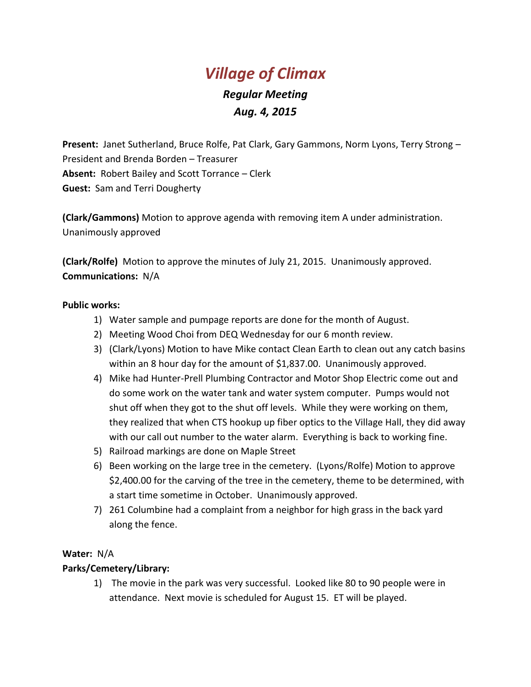# *Village of Climax*

# *Regular Meeting Aug. 4, 2015*

**Present:** Janet Sutherland, Bruce Rolfe, Pat Clark, Gary Gammons, Norm Lyons, Terry Strong – President and Brenda Borden – Treasurer **Absent:** Robert Bailey and Scott Torrance – Clerk **Guest:** Sam and Terri Dougherty

**(Clark/Gammons)** Motion to approve agenda with removing item A under administration. Unanimously approved

**(Clark/Rolfe)** Motion to approve the minutes of July 21, 2015. Unanimously approved. **Communications:** N/A

#### **Public works:**

- 1) Water sample and pumpage reports are done for the month of August.
- 2) Meeting Wood Choi from DEQ Wednesday for our 6 month review.
- 3) (Clark/Lyons) Motion to have Mike contact Clean Earth to clean out any catch basins within an 8 hour day for the amount of \$1,837.00. Unanimously approved.
- 4) Mike had Hunter-Prell Plumbing Contractor and Motor Shop Electric come out and do some work on the water tank and water system computer. Pumps would not shut off when they got to the shut off levels. While they were working on them, they realized that when CTS hookup up fiber optics to the Village Hall, they did away with our call out number to the water alarm. Everything is back to working fine.
- 5) Railroad markings are done on Maple Street
- 6) Been working on the large tree in the cemetery. (Lyons/Rolfe) Motion to approve \$2,400.00 for the carving of the tree in the cemetery, theme to be determined, with a start time sometime in October. Unanimously approved.
- 7) 261 Columbine had a complaint from a neighbor for high grass in the back yard along the fence.

#### **Water:** N/A

#### **Parks/Cemetery/Library:**

1) The movie in the park was very successful. Looked like 80 to 90 people were in attendance. Next movie is scheduled for August 15. ET will be played.